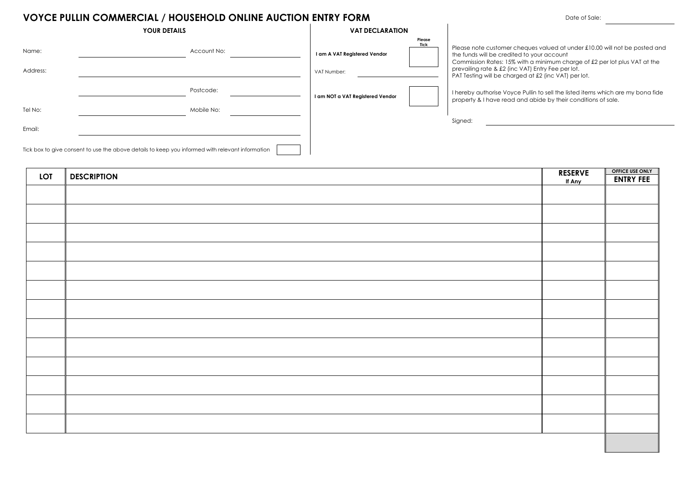# **VOYCE PULLIN COMMERCIAL / HOUSEHOLD ONLINE AUCTION ENTRY FORM**

|                   | <b>YOUR DETAILS</b>                                                                              | <b>VAT DECLARATION</b>                      |                       |                                                                                                                                                                                                                                                                                                                    |
|-------------------|--------------------------------------------------------------------------------------------------|---------------------------------------------|-----------------------|--------------------------------------------------------------------------------------------------------------------------------------------------------------------------------------------------------------------------------------------------------------------------------------------------------------------|
| Name:<br>Address: | Account No:                                                                                      | I am A VAT Registered Vendor<br>VAT Number: | Please<br><b>Tick</b> | Please note customer cheques valued at under £10.00 will not be posted and<br>the funds will be credited to your account<br>Commission Rates: 15% with a minimum charge of £2 per lot plus VAT at the<br>prevailing rate & £2 (inc VAT) Entry Fee per lot.<br>PAT Testing will be charged at £2 (inc VAT) per lot. |
|                   | Postcode:                                                                                        | I am NOT a VAT Registered Vendor            |                       | I hereby authorise Voyce Pullin to sell the listed items which are my bona fide<br>property & I have read and abide by their conditions of sale.                                                                                                                                                                   |
| Tel No:           | Mobile No:                                                                                       |                                             |                       |                                                                                                                                                                                                                                                                                                                    |
| Email:            |                                                                                                  |                                             |                       | Signed:                                                                                                                                                                                                                                                                                                            |
|                   | Tick box to give consent to use the above details to keep you informed with relevant information |                                             |                       |                                                                                                                                                                                                                                                                                                                    |

| <b>LOT</b> | <b>DESCRIPTION</b> | <b>RESERVE</b> | <b>OFFICE USE ONLY</b> |
|------------|--------------------|----------------|------------------------|
|            |                    | If Any         | <b>ENTRY FEE</b>       |
|            |                    |                |                        |
|            |                    |                |                        |
|            |                    |                |                        |
|            |                    |                |                        |
|            |                    |                |                        |
|            |                    |                |                        |
|            |                    |                |                        |
|            |                    |                |                        |
|            |                    |                |                        |
|            |                    |                |                        |
|            |                    |                |                        |
|            |                    |                |                        |
|            |                    |                |                        |
|            |                    |                |                        |
|            |                    |                |                        |
|            |                    |                |                        |
|            |                    |                |                        |
|            |                    |                |                        |
|            |                    |                |                        |
|            |                    |                |                        |
|            |                    |                |                        |
|            |                    |                |                        |
|            |                    |                |                        |
|            |                    |                |                        |
|            |                    |                |                        |
|            |                    |                |                        |
|            |                    |                |                        |
|            |                    |                |                        |
|            |                    |                |                        |
|            |                    |                |                        |